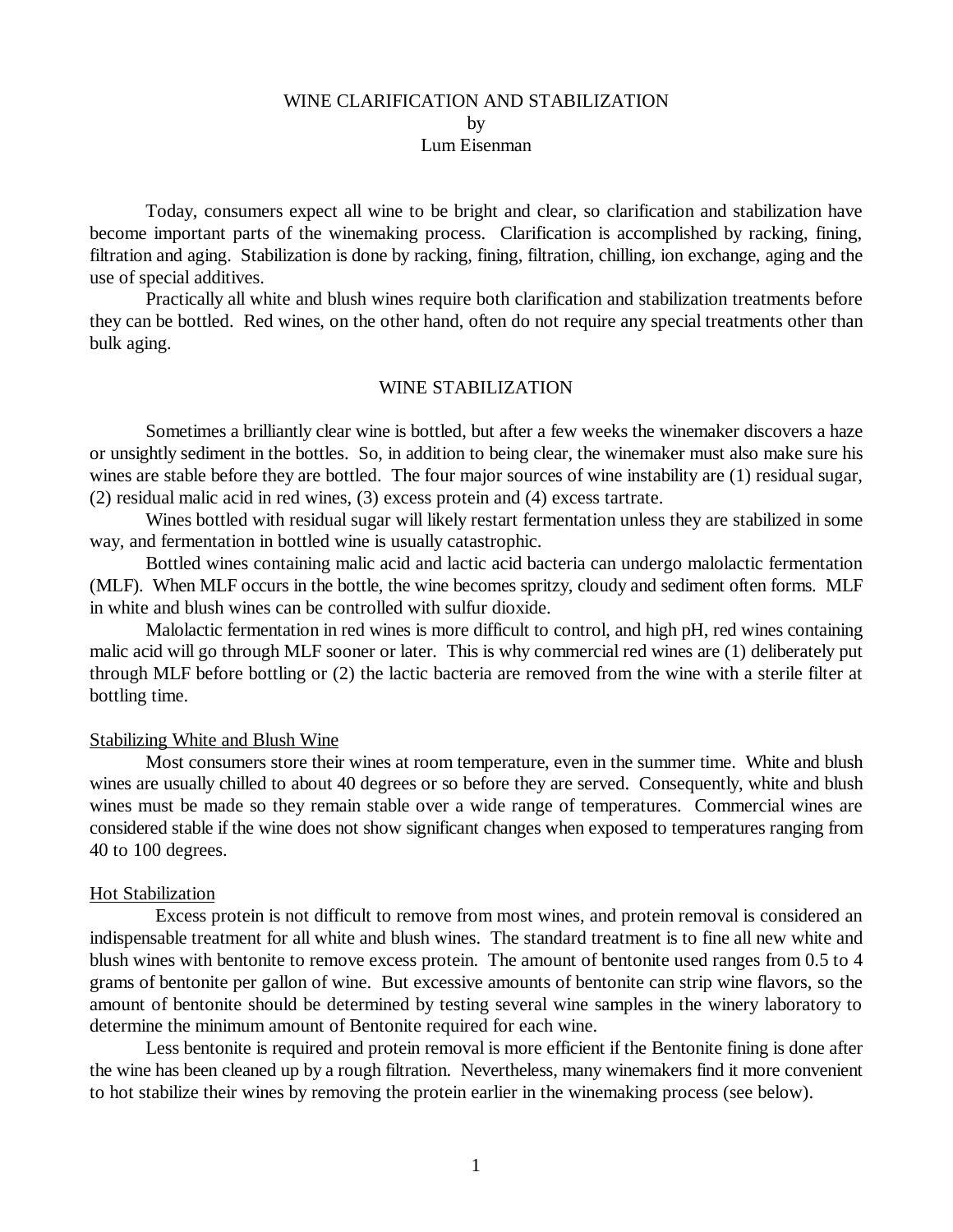# WINE CLARIFICATION AND STABILIZATION by Lum Eisenman

Today, consumers expect all wine to be bright and clear, so clarification and stabilization have become important parts of the winemaking process. Clarification is accomplished by racking, fining, filtration and aging. Stabilization is done by racking, fining, filtration, chilling, ion exchange, aging and the use of special additives.

Practically all white and blush wines require both clarification and stabilization treatments before they can be bottled. Red wines, on the other hand, often do not require any special treatments other than bulk aging.

## WINE STABILIZATION

Sometimes a brilliantly clear wine is bottled, but after a few weeks the winemaker discovers a haze or unsightly sediment in the bottles. So, in addition to being clear, the winemaker must also make sure his wines are stable before they are bottled. The four major sources of wine instability are (1) residual sugar, (2) residual malic acid in red wines, (3) excess protein and (4) excess tartrate.

Wines bottled with residual sugar will likely restart fermentation unless they are stabilized in some way, and fermentation in bottled wine is usually catastrophic.

Bottled wines containing malic acid and lactic acid bacteria can undergo malolactic fermentation (MLF). When MLF occurs in the bottle, the wine becomes spritzy, cloudy and sediment often forms. MLF in white and blush wines can be controlled with sulfur dioxide.

Malolactic fermentation in red wines is more difficult to control, and high pH, red wines containing malic acid will go through MLF sooner or later. This is why commercial red wines are (1) deliberately put through MLF before bottling or (2) the lactic bacteria are removed from the wine with a sterile filter at bottling time.

## Stabilizing White and Blush Wine

Most consumers store their wines at room temperature, even in the summer time. White and blush wines are usually chilled to about 40 degrees or so before they are served. Consequently, white and blush wines must be made so they remain stable over a wide range of temperatures. Commercial wines are considered stable if the wine does not show significant changes when exposed to temperatures ranging from 40 to 100 degrees.

#### Hot Stabilization

 Excess protein is not difficult to remove from most wines, and protein removal is considered an indispensable treatment for all white and blush wines. The standard treatment is to fine all new white and blush wines with bentonite to remove excess protein. The amount of bentonite used ranges from 0.5 to 4 grams of bentonite per gallon of wine. But excessive amounts of bentonite can strip wine flavors, so the amount of bentonite should be determined by testing several wine samples in the winery laboratory to determine the minimum amount of Bentonite required for each wine.

Less bentonite is required and protein removal is more efficient if the Bentonite fining is done after the wine has been cleaned up by a rough filtration. Nevertheless, many winemakers find it more convenient to hot stabilize their wines by removing the protein earlier in the winemaking process (see below).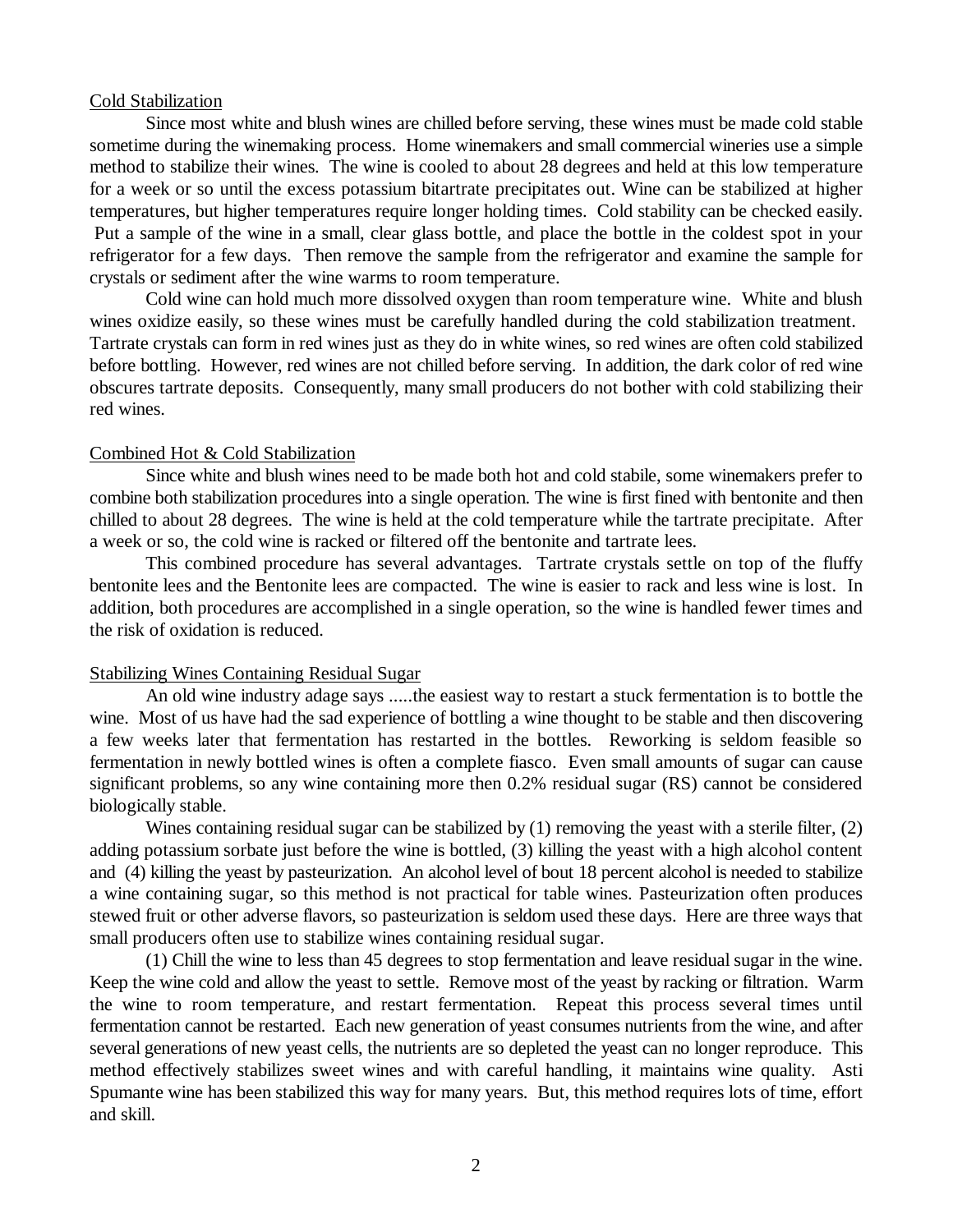## Cold Stabilization

Since most white and blush wines are chilled before serving, these wines must be made cold stable sometime during the winemaking process. Home winemakers and small commercial wineries use a simple method to stabilize their wines. The wine is cooled to about 28 degrees and held at this low temperature for a week or so until the excess potassium bitartrate precipitates out. Wine can be stabilized at higher temperatures, but higher temperatures require longer holding times. Cold stability can be checked easily. Put a sample of the wine in a small, clear glass bottle, and place the bottle in the coldest spot in your refrigerator for a few days. Then remove the sample from the refrigerator and examine the sample for crystals or sediment after the wine warms to room temperature.

Cold wine can hold much more dissolved oxygen than room temperature wine. White and blush wines oxidize easily, so these wines must be carefully handled during the cold stabilization treatment. Tartrate crystals can form in red wines just as they do in white wines, so red wines are often cold stabilized before bottling. However, red wines are not chilled before serving. In addition, the dark color of red wine obscures tartrate deposits. Consequently, many small producers do not bother with cold stabilizing their red wines.

#### Combined Hot & Cold Stabilization

Since white and blush wines need to be made both hot and cold stabile, some winemakers prefer to combine both stabilization procedures into a single operation. The wine is first fined with bentonite and then chilled to about 28 degrees. The wine is held at the cold temperature while the tartrate precipitate. After a week or so, the cold wine is racked or filtered off the bentonite and tartrate lees.

This combined procedure has several advantages. Tartrate crystals settle on top of the fluffy bentonite lees and the Bentonite lees are compacted. The wine is easier to rack and less wine is lost. In addition, both procedures are accomplished in a single operation, so the wine is handled fewer times and the risk of oxidation is reduced.

#### Stabilizing Wines Containing Residual Sugar

An old wine industry adage says .....the easiest way to restart a stuck fermentation is to bottle the wine. Most of us have had the sad experience of bottling a wine thought to be stable and then discovering a few weeks later that fermentation has restarted in the bottles. Reworking is seldom feasible so fermentation in newly bottled wines is often a complete fiasco. Even small amounts of sugar can cause significant problems, so any wine containing more then 0.2% residual sugar (RS) cannot be considered biologically stable.

Wines containing residual sugar can be stabilized by (1) removing the yeast with a sterile filter, (2) adding potassium sorbate just before the wine is bottled, (3) killing the yeast with a high alcohol content and (4) killing the yeast by pasteurization. An alcohol level of bout 18 percent alcohol is needed to stabilize a wine containing sugar, so this method is not practical for table wines. Pasteurization often produces stewed fruit or other adverse flavors, so pasteurization is seldom used these days. Here are three ways that small producers often use to stabilize wines containing residual sugar.

(1) Chill the wine to less than 45 degrees to stop fermentation and leave residual sugar in the wine. Keep the wine cold and allow the yeast to settle. Remove most of the yeast by racking or filtration. Warm the wine to room temperature, and restart fermentation. Repeat this process several times until fermentation cannot be restarted. Each new generation of yeast consumes nutrients from the wine, and after several generations of new yeast cells, the nutrients are so depleted the yeast can no longer reproduce. This method effectively stabilizes sweet wines and with careful handling, it maintains wine quality. Asti Spumante wine has been stabilized this way for many years. But, this method requires lots of time, effort and skill.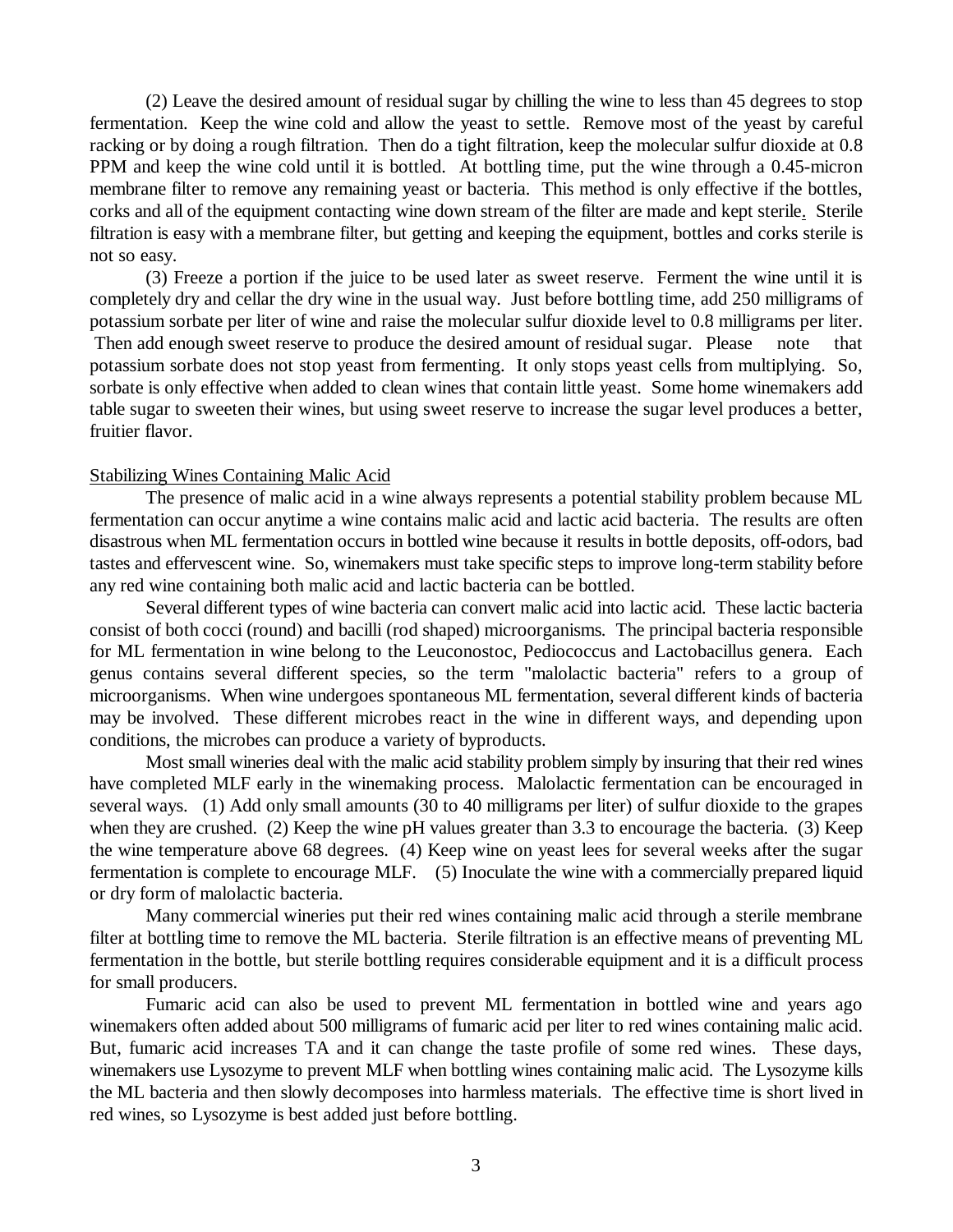(2) Leave the desired amount of residual sugar by chilling the wine to less than 45 degrees to stop fermentation. Keep the wine cold and allow the yeast to settle. Remove most of the yeast by careful racking or by doing a rough filtration. Then do a tight filtration, keep the molecular sulfur dioxide at 0.8 PPM and keep the wine cold until it is bottled. At bottling time, put the wine through a 0.45-micron membrane filter to remove any remaining yeast or bacteria. This method is only effective if the bottles, corks and all of the equipment contacting wine down stream of the filter are made and kept sterile. Sterile filtration is easy with a membrane filter, but getting and keeping the equipment, bottles and corks sterile is not so easy.

(3) Freeze a portion if the juice to be used later as sweet reserve. Ferment the wine until it is completely dry and cellar the dry wine in the usual way. Just before bottling time, add 250 milligrams of potassium sorbate per liter of wine and raise the molecular sulfur dioxide level to 0.8 milligrams per liter.

 Then add enough sweet reserve to produce the desired amount of residual sugar. Please note that potassium sorbate does not stop yeast from fermenting. It only stops yeast cells from multiplying. So, sorbate is only effective when added to clean wines that contain little yeast. Some home winemakers add table sugar to sweeten their wines, but using sweet reserve to increase the sugar level produces a better, fruitier flavor.

#### Stabilizing Wines Containing Malic Acid

The presence of malic acid in a wine always represents a potential stability problem because ML fermentation can occur anytime a wine contains malic acid and lactic acid bacteria. The results are often disastrous when ML fermentation occurs in bottled wine because it results in bottle deposits, off-odors, bad tastes and effervescent wine. So, winemakers must take specific steps to improve long-term stability before any red wine containing both malic acid and lactic bacteria can be bottled.

Several different types of wine bacteria can convert malic acid into lactic acid. These lactic bacteria consist of both cocci (round) and bacilli (rod shaped) microorganisms. The principal bacteria responsible for ML fermentation in wine belong to the Leuconostoc, Pediococcus and Lactobacillus genera. Each genus contains several different species, so the term "malolactic bacteria" refers to a group of microorganisms. When wine undergoes spontaneous ML fermentation, several different kinds of bacteria may be involved. These different microbes react in the wine in different ways, and depending upon conditions, the microbes can produce a variety of byproducts.

Most small wineries deal with the malic acid stability problem simply by insuring that their red wines have completed MLF early in the winemaking process. Malolactic fermentation can be encouraged in several ways. (1) Add only small amounts (30 to 40 milligrams per liter) of sulfur dioxide to the grapes when they are crushed. (2) Keep the wine pH values greater than 3.3 to encourage the bacteria. (3) Keep the wine temperature above 68 degrees. (4) Keep wine on yeast lees for several weeks after the sugar fermentation is complete to encourage MLF. (5) Inoculate the wine with a commercially prepared liquid or dry form of malolactic bacteria.

Many commercial wineries put their red wines containing malic acid through a sterile membrane filter at bottling time to remove the ML bacteria. Sterile filtration is an effective means of preventing ML fermentation in the bottle, but sterile bottling requires considerable equipment and it is a difficult process for small producers.

Fumaric acid can also be used to prevent ML fermentation in bottled wine and years ago winemakers often added about 500 milligrams of fumaric acid per liter to red wines containing malic acid. But, fumaric acid increases TA and it can change the taste profile of some red wines. These days, winemakers use Lysozyme to prevent MLF when bottling wines containing malic acid. The Lysozyme kills the ML bacteria and then slowly decomposes into harmless materials. The effective time is short lived in red wines, so Lysozyme is best added just before bottling.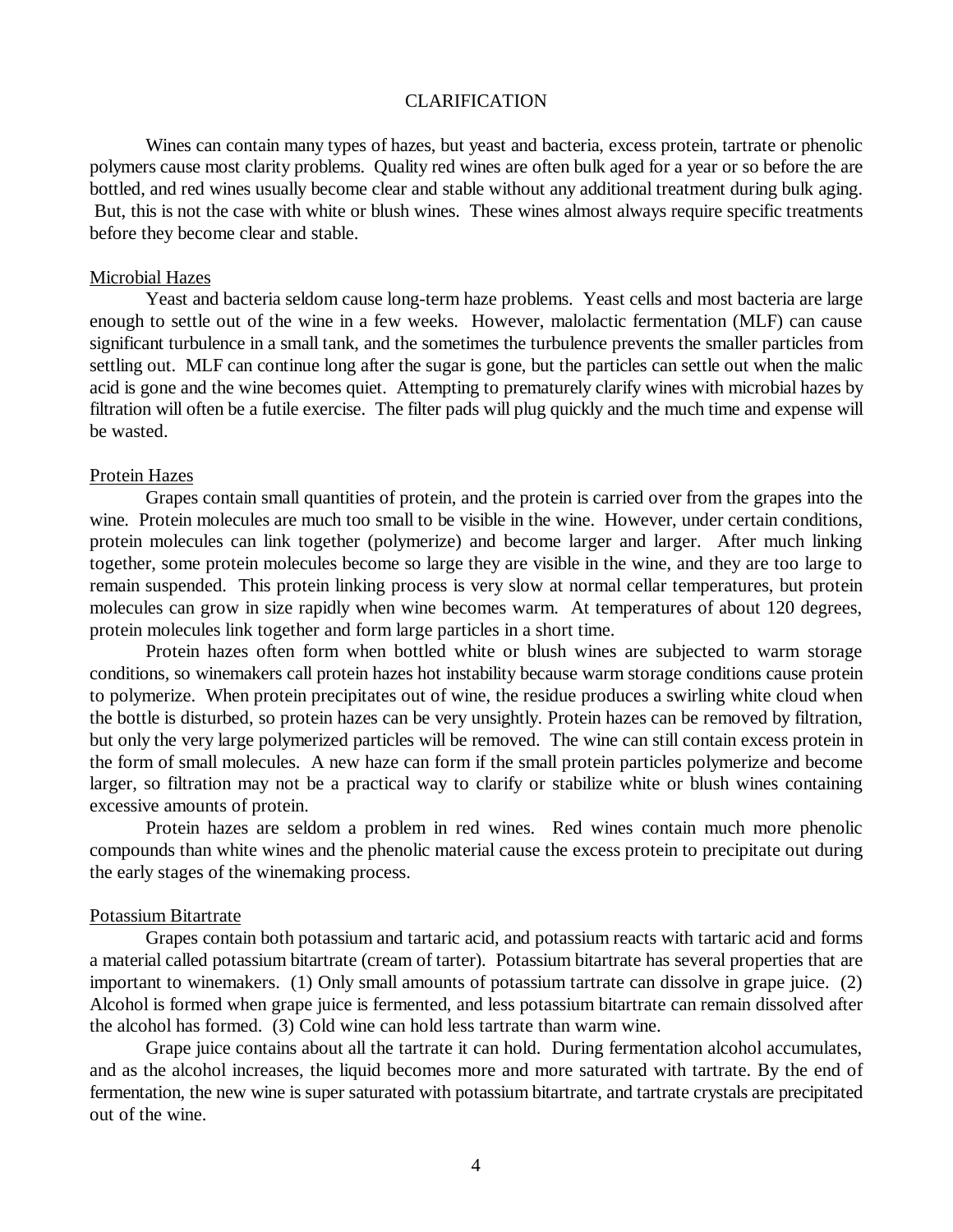## CLARIFICATION

Wines can contain many types of hazes, but yeast and bacteria, excess protein, tartrate or phenolic polymers cause most clarity problems. Quality red wines are often bulk aged for a year or so before the are bottled, and red wines usually become clear and stable without any additional treatment during bulk aging. But, this is not the case with white or blush wines. These wines almost always require specific treatments before they become clear and stable.

### Microbial Hazes

Yeast and bacteria seldom cause long-term haze problems. Yeast cells and most bacteria are large enough to settle out of the wine in a few weeks. However, malolactic fermentation (MLF) can cause significant turbulence in a small tank, and the sometimes the turbulence prevents the smaller particles from settling out. MLF can continue long after the sugar is gone, but the particles can settle out when the malic acid is gone and the wine becomes quiet. Attempting to prematurely clarify wines with microbial hazes by filtration will often be a futile exercise. The filter pads will plug quickly and the much time and expense will be wasted.

#### Protein Hazes

Grapes contain small quantities of protein, and the protein is carried over from the grapes into the wine. Protein molecules are much too small to be visible in the wine. However, under certain conditions, protein molecules can link together (polymerize) and become larger and larger. After much linking together, some protein molecules become so large they are visible in the wine, and they are too large to remain suspended. This protein linking process is very slow at normal cellar temperatures, but protein molecules can grow in size rapidly when wine becomes warm. At temperatures of about 120 degrees, protein molecules link together and form large particles in a short time.

Protein hazes often form when bottled white or blush wines are subjected to warm storage conditions, so winemakers call protein hazes hot instability because warm storage conditions cause protein to polymerize. When protein precipitates out of wine, the residue produces a swirling white cloud when the bottle is disturbed, so protein hazes can be very unsightly. Protein hazes can be removed by filtration, but only the very large polymerized particles will be removed. The wine can still contain excess protein in the form of small molecules. A new haze can form if the small protein particles polymerize and become larger, so filtration may not be a practical way to clarify or stabilize white or blush wines containing excessive amounts of protein.

Protein hazes are seldom a problem in red wines. Red wines contain much more phenolic compounds than white wines and the phenolic material cause the excess protein to precipitate out during the early stages of the winemaking process.

#### Potassium Bitartrate

Grapes contain both potassium and tartaric acid, and potassium reacts with tartaric acid and forms a material called potassium bitartrate (cream of tarter). Potassium bitartrate has several properties that are important to winemakers. (1) Only small amounts of potassium tartrate can dissolve in grape juice. (2) Alcohol is formed when grape juice is fermented, and less potassium bitartrate can remain dissolved after the alcohol has formed. (3) Cold wine can hold less tartrate than warm wine.

Grape juice contains about all the tartrate it can hold. During fermentation alcohol accumulates, and as the alcohol increases, the liquid becomes more and more saturated with tartrate. By the end of fermentation, the new wine is super saturated with potassium bitartrate, and tartrate crystals are precipitated out of the wine.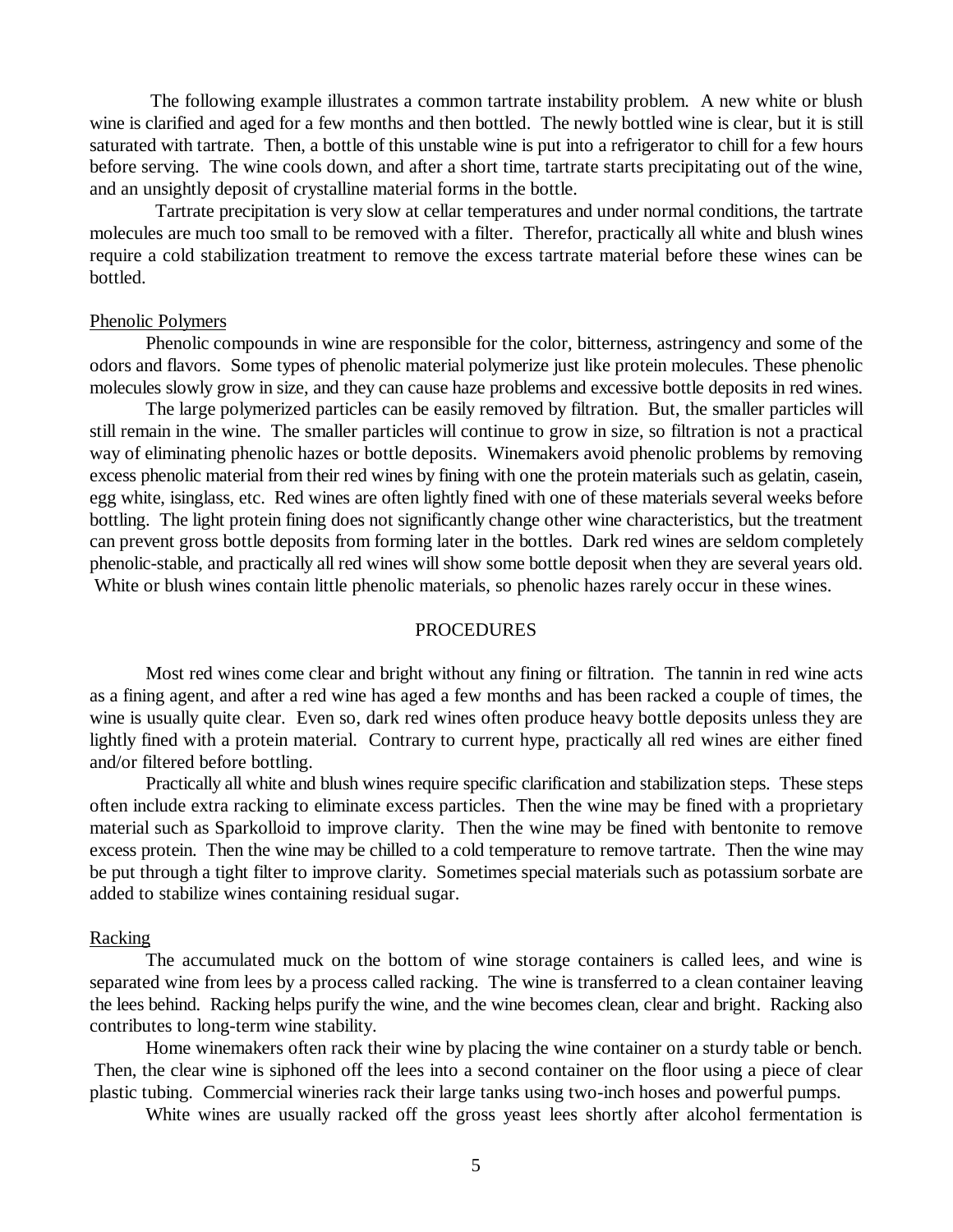The following example illustrates a common tartrate instability problem. A new white or blush wine is clarified and aged for a few months and then bottled. The newly bottled wine is clear, but it is still saturated with tartrate. Then, a bottle of this unstable wine is put into a refrigerator to chill for a few hours before serving. The wine cools down, and after a short time, tartrate starts precipitating out of the wine, and an unsightly deposit of crystalline material forms in the bottle.

 Tartrate precipitation is very slow at cellar temperatures and under normal conditions, the tartrate molecules are much too small to be removed with a filter. Therefor, practically all white and blush wines require a cold stabilization treatment to remove the excess tartrate material before these wines can be bottled.

#### Phenolic Polymers

Phenolic compounds in wine are responsible for the color, bitterness, astringency and some of the odors and flavors. Some types of phenolic material polymerize just like protein molecules. These phenolic molecules slowly grow in size, and they can cause haze problems and excessive bottle deposits in red wines.

The large polymerized particles can be easily removed by filtration. But, the smaller particles will still remain in the wine. The smaller particles will continue to grow in size, so filtration is not a practical way of eliminating phenolic hazes or bottle deposits. Winemakers avoid phenolic problems by removing excess phenolic material from their red wines by fining with one the protein materials such as gelatin, casein, egg white, isinglass, etc. Red wines are often lightly fined with one of these materials several weeks before bottling. The light protein fining does not significantly change other wine characteristics, but the treatment can prevent gross bottle deposits from forming later in the bottles. Dark red wines are seldom completely phenolic-stable, and practically all red wines will show some bottle deposit when they are several years old. White or blush wines contain little phenolic materials, so phenolic hazes rarely occur in these wines.

#### PROCEDURES

Most red wines come clear and bright without any fining or filtration. The tannin in red wine acts as a fining agent, and after a red wine has aged a few months and has been racked a couple of times, the wine is usually quite clear. Even so, dark red wines often produce heavy bottle deposits unless they are lightly fined with a protein material. Contrary to current hype, practically all red wines are either fined and/or filtered before bottling.

Practically all white and blush wines require specific clarification and stabilization steps. These steps often include extra racking to eliminate excess particles. Then the wine may be fined with a proprietary material such as Sparkolloid to improve clarity. Then the wine may be fined with bentonite to remove excess protein. Then the wine may be chilled to a cold temperature to remove tartrate. Then the wine may be put through a tight filter to improve clarity. Sometimes special materials such as potassium sorbate are added to stabilize wines containing residual sugar.

#### Racking

The accumulated muck on the bottom of wine storage containers is called lees, and wine is separated wine from lees by a process called racking. The wine is transferred to a clean container leaving the lees behind. Racking helps purify the wine, and the wine becomes clean, clear and bright. Racking also contributes to long-term wine stability.

Home winemakers often rack their wine by placing the wine container on a sturdy table or bench. Then, the clear wine is siphoned off the lees into a second container on the floor using a piece of clear plastic tubing. Commercial wineries rack their large tanks using two-inch hoses and powerful pumps.

White wines are usually racked off the gross yeast lees shortly after alcohol fermentation is